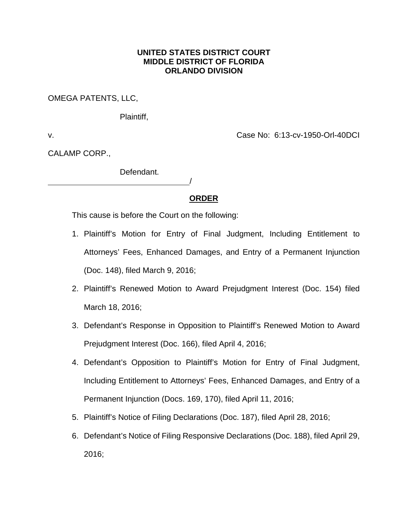# **UNITED STATES DISTRICT COURT MIDDLE DISTRICT OF FLORIDA ORLANDO DIVISION**

OMEGA PATENTS, LLC,

Plaintiff,

v. Case No: 6:13-cv-1950-Orl-40DCI

CALAMP CORP.,

Defendant.

# **ORDER**

/

This cause is before the Court on the following:

- 1. Plaintiff's Motion for Entry of Final Judgment, Including Entitlement to Attorneys' Fees, Enhanced Damages, and Entry of a Permanent Injunction (Doc. 148), filed March 9, 2016;
- 2. Plaintiff's Renewed Motion to Award Prejudgment Interest (Doc. 154) filed March 18, 2016;
- 3. Defendant's Response in Opposition to Plaintiff's Renewed Motion to Award Prejudgment Interest (Doc. 166), filed April 4, 2016;
- 4. Defendant's Opposition to Plaintiff's Motion for Entry of Final Judgment, Including Entitlement to Attorneys' Fees, Enhanced Damages, and Entry of a Permanent Injunction (Docs. 169, 170), filed April 11, 2016;
- 5. Plaintiff's Notice of Filing Declarations (Doc. 187), filed April 28, 2016;
- 6. Defendant's Notice of Filing Responsive Declarations (Doc. 188), filed April 29, 2016;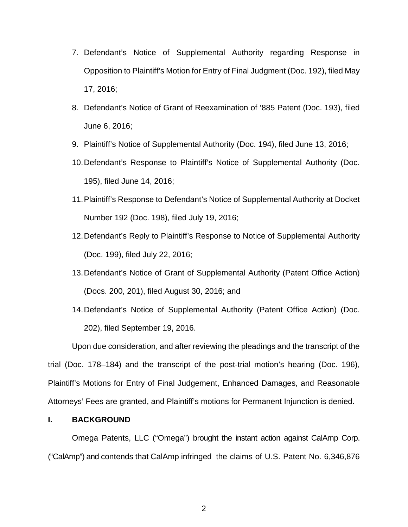- 7. Defendant's Notice of Supplemental Authority regarding Response in Opposition to Plaintiff's Motion for Entry of Final Judgment (Doc. 192), filed May 17, 2016;
- 8. Defendant's Notice of Grant of Reexamination of '885 Patent (Doc. 193), filed June 6, 2016;
- 9. Plaintiff's Notice of Supplemental Authority (Doc. 194), filed June 13, 2016;
- 10.Defendant's Response to Plaintiff's Notice of Supplemental Authority (Doc. 195), filed June 14, 2016;
- 11.Plaintiff's Response to Defendant's Notice of Supplemental Authority at Docket Number 192 (Doc. 198), filed July 19, 2016;
- 12.Defendant's Reply to Plaintiff's Response to Notice of Supplemental Authority (Doc. 199), filed July 22, 2016;
- 13.Defendant's Notice of Grant of Supplemental Authority (Patent Office Action) (Docs. 200, 201), filed August 30, 2016; and
- 14.Defendant's Notice of Supplemental Authority (Patent Office Action) (Doc. 202), filed September 19, 2016.

Upon due consideration, and after reviewing the pleadings and the transcript of the trial (Doc. 178–184) and the transcript of the post-trial motion's hearing (Doc. 196), Plaintiff's Motions for Entry of Final Judgement, Enhanced Damages, and Reasonable Attorneys' Fees are granted, and Plaintiff's motions for Permanent Injunction is denied.

#### **I. BACKGROUND**

Omega Patents, LLC ("Omega") brought the instant action against CalAmp Corp. ("CalAmp") and contends that CalAmp infringed the claims of U.S. Patent No. 6,346,876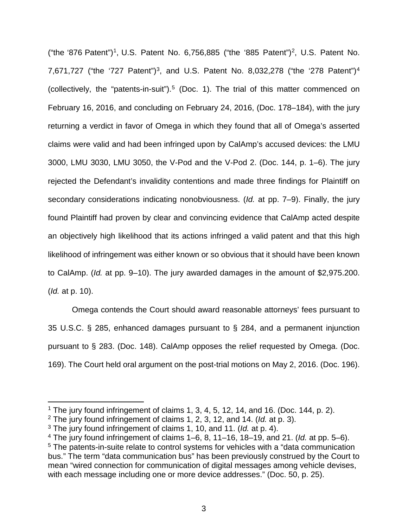("the '876 Patent")<sup>1</sup>, U.S. Patent No. 6,756,885 ("the '885 Patent")<sup>2</sup>, U.S. Patent No. 7,671,727 ("the '727 Patent")<sup>3</sup>, and U.S. Patent No. 8,032,278 ("the '278 Patent")<sup>4</sup> (collectively, the "patents-in-suit").<sup>5</sup> (Doc. 1). The trial of this matter commenced on February 16, 2016, and concluding on February 24, 2016, (Doc. 178–184), with the jury returning a verdict in favor of Omega in which they found that all of Omega's asserted claims were valid and had been infringed upon by CalAmp's accused devices: the LMU 3000, LMU 3030, LMU 3050, the V-Pod and the V-Pod 2. (Doc. 144, p. 1–6). The jury rejected the Defendant's invalidity contentions and made three findings for Plaintiff on secondary considerations indicating nonobviousness. (*Id.* at pp. 7–9). Finally, the jury found Plaintiff had proven by clear and convincing evidence that CalAmp acted despite an objectively high likelihood that its actions infringed a valid patent and that this high likelihood of infringement was either known or so obvious that it should have been known to CalAmp. (*Id.* at pp. 9–10). The jury awarded damages in the amount of \$2,975.200. (*Id.* at p. 10).

Omega contends the Court should award reasonable attorneys' fees pursuant to 35 U.S.C. § 285, enhanced damages pursuant to § 284, and a permanent injunction pursuant to § 283. (Doc. 148). CalAmp opposes the relief requested by Omega. (Doc. 169). The Court held oral argument on the post-trial motions on May 2, 2016. (Doc. 196).

<sup>&</sup>lt;sup>1</sup> The jury found infringement of claims 1, 3, 4, 5, 12, 14, and 16. (Doc. 144, p. 2).

<sup>2</sup> The jury found infringement of claims 1, 2, 3, 12, and 14. (*Id.* at p. 3).

<sup>3</sup> The jury found infringement of claims 1, 10, and 11. (*Id.* at p. 4).

<sup>4</sup> The jury found infringement of claims 1–6, 8, 11–16, 18–19, and 21. (*Id.* at pp. 5–6). <sup>5</sup> The patents-in-suite relate to control systems for vehicles with a "data communication bus." The term "data communication bus" has been previously construed by the Court to mean "wired connection for communication of digital messages among vehicle devises, with each message including one or more device addresses." (Doc. 50, p. 25).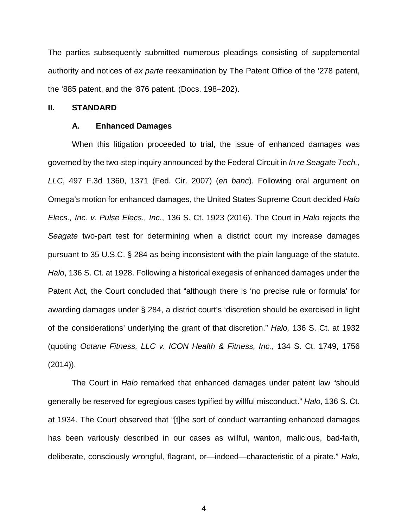The parties subsequently submitted numerous pleadings consisting of supplemental authority and notices of *ex parte* reexamination by The Patent Office of the '278 patent, the '885 patent, and the '876 patent. (Docs. 198–202).

### **II. STANDARD**

#### **A. Enhanced Damages**

When this litigation proceeded to trial, the issue of enhanced damages was governed by the two-step inquiry announced by the Federal Circuit in *In re Seagate Tech., LLC*, 497 F.3d 1360, 1371 (Fed. Cir. 2007) (*en banc*). Following oral argument on Omega's motion for enhanced damages, the United States Supreme Court decided *Halo Elecs., Inc. v. Pulse Elecs., Inc.*, 136 S. Ct. 1923 (2016). The Court in *Halo* rejects the *Seagate* two-part test for determining when a district court my increase damages pursuant to 35 U.S.C. § 284 as being inconsistent with the plain language of the statute. *Halo*, 136 S. Ct. at 1928. Following a historical exegesis of enhanced damages under the Patent Act, the Court concluded that "although there is 'no precise rule or formula' for awarding damages under § 284, a district court's 'discretion should be exercised in light of the considerations' underlying the grant of that discretion." *Halo,* 136 S. Ct. at 1932 (quoting *Octane Fitness, LLC v. ICON Health & Fitness, Inc.*, 134 S. Ct. 1749, 1756 (2014)).

The Court in *Halo* remarked that enhanced damages under patent law "should generally be reserved for egregious cases typified by willful misconduct." *Halo*, 136 S. Ct. at 1934. The Court observed that "[t]he sort of conduct warranting enhanced damages has been variously described in our cases as willful, wanton, malicious, bad-faith, deliberate, consciously wrongful, flagrant, or—indeed—characteristic of a pirate." *Halo,*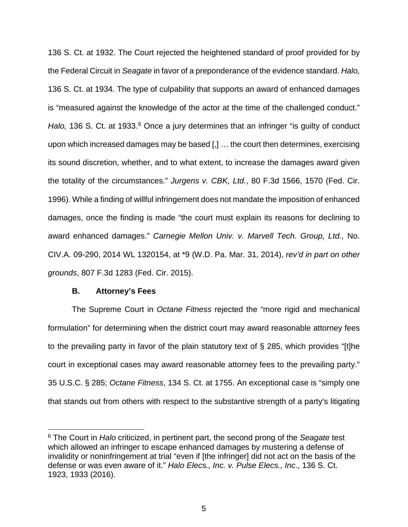136 S. Ct. at 1932. The Court rejected the heightened standard of proof provided for by the Federal Circuit in *Seagate* in favor of a preponderance of the evidence standard. *Halo,* 136 S. Ct. at 1934*.* The type of culpability that supports an award of enhanced damages is "measured against the knowledge of the actor at the time of the challenged conduct." *Halo*, 136 S. Ct. at 1933.<sup>6</sup> Once a jury determines that an infringer "is quilty of conduct upon which increased damages may be based [,] … the court then determines, exercising its sound discretion, whether, and to what extent, to increase the damages award given the totality of the circumstances." *Jurgens v. CBK, Ltd.*, 80 F.3d 1566, 1570 (Fed. Cir. 1996). While a finding of willful infringement does not mandate the imposition of enhanced damages, once the finding is made "the court must explain its reasons for declining to award enhanced damages." *Carnegie Mellon Univ. v. Marvell Tech. Group, Ltd.*, No. CIV.A. 09-290, 2014 WL 1320154, at \*9 (W.D. Pa. Mar. 31, 2014), *rev'd in part on other grounds*, 807 F.3d 1283 (Fed. Cir. 2015).

#### **B. Attorney's Fees**

The Supreme Court in *Octane Fitness* rejected the "more rigid and mechanical formulation" for determining when the district court may award reasonable attorney fees to the prevailing party in favor of the plain statutory text of § 285, which provides "[t]he court in exceptional cases may award reasonable attorney fees to the prevailing party." 35 U.S.C. § 285; *Octane Fitness*, 134 S. Ct. at 1755. An exceptional case is "simply one that stands out from others with respect to the substantive strength of a party's litigating

 <sup>6</sup> The Court in *Halo* criticized, in pertinent part, the second prong of the *Seagate* test which allowed an infringer to escape enhanced damages by mustering a defense of invalidity or noninfringement at trial "even if [the infringer] did not act on the basis of the defense or was even aware of it." *Halo Elecs., Inc. v. Pulse Elecs., Inc*., 136 S. Ct. 1923, 1933 (2016).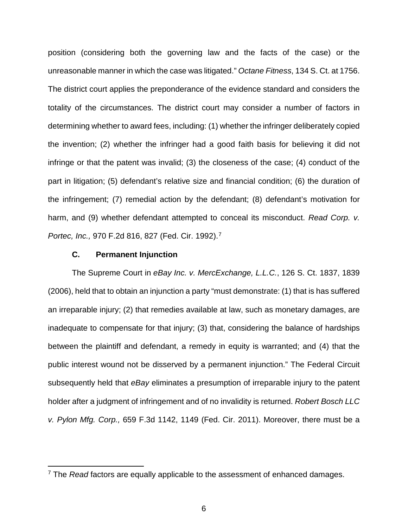position (considering both the governing law and the facts of the case) or the unreasonable manner in which the case was litigated." *Octane Fitness*, 134 S. Ct. at 1756. The district court applies the preponderance of the evidence standard and considers the totality of the circumstances. The district court may consider a number of factors in determining whether to award fees, including: (1) whether the infringer deliberately copied the invention; (2) whether the infringer had a good faith basis for believing it did not infringe or that the patent was invalid; (3) the closeness of the case; (4) conduct of the part in litigation; (5) defendant's relative size and financial condition; (6) the duration of the infringement; (7) remedial action by the defendant; (8) defendant's motivation for harm, and (9) whether defendant attempted to conceal its misconduct. *Read Corp. v. Portec, Inc.,* 970 F.2d 816, 827 (Fed. Cir. 1992).7

# **C. Permanent Injunction**

The Supreme Court in *eBay Inc. v. MercExchange, L.L.C.*, 126 S. Ct. 1837, 1839 (2006), held that to obtain an injunction a party "must demonstrate: (1) that is has suffered an irreparable injury; (2) that remedies available at law, such as monetary damages, are inadequate to compensate for that injury; (3) that, considering the balance of hardships between the plaintiff and defendant, a remedy in equity is warranted; and (4) that the public interest wound not be disserved by a permanent injunction." The Federal Circuit subsequently held that *eBay* eliminates a presumption of irreparable injury to the patent holder after a judgment of infringement and of no invalidity is returned. *Robert Bosch LLC v. Pylon Mfg. Corp.,* 659 F.3d 1142, 1149 (Fed. Cir. 2011). Moreover, there must be a

 <sup>7</sup> The *Read* factors are equally applicable to the assessment of enhanced damages.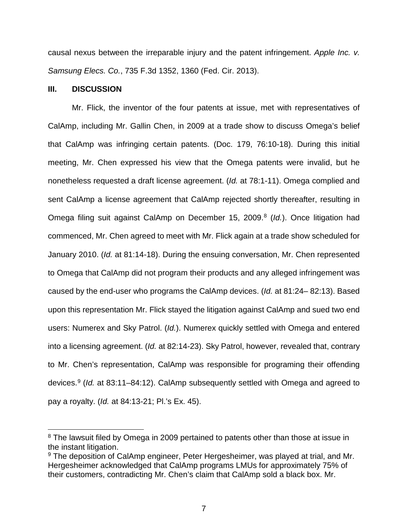causal nexus between the irreparable injury and the patent infringement. *Apple Inc. v. Samsung Elecs. Co.*, 735 F.3d 1352, 1360 (Fed. Cir. 2013).

### **III. DISCUSSION**

Mr. Flick, the inventor of the four patents at issue, met with representatives of CalAmp, including Mr. Gallin Chen, in 2009 at a trade show to discuss Omega's belief that CalAmp was infringing certain patents. (Doc. 179, 76:10-18). During this initial meeting, Mr. Chen expressed his view that the Omega patents were invalid, but he nonetheless requested a draft license agreement. (*Id.* at 78:1-11). Omega complied and sent CalAmp a license agreement that CalAmp rejected shortly thereafter, resulting in Omega filing suit against CalAmp on December 15, 2009.<sup>8</sup> (*Id.*). Once litigation had commenced, Mr. Chen agreed to meet with Mr. Flick again at a trade show scheduled for January 2010. (*Id.* at 81:14-18). During the ensuing conversation, Mr. Chen represented to Omega that CalAmp did not program their products and any alleged infringement was caused by the end-user who programs the CalAmp devices. (*Id.* at 81:24– 82:13). Based upon this representation Mr. Flick stayed the litigation against CalAmp and sued two end users: Numerex and Sky Patrol. (*Id.*). Numerex quickly settled with Omega and entered into a licensing agreement. (*Id.* at 82:14-23). Sky Patrol, however, revealed that, contrary to Mr. Chen's representation, CalAmp was responsible for programing their offending devices.9 (*Id.* at 83:11–84:12). CalAmp subsequently settled with Omega and agreed to pay a royalty. (*Id.* at 84:13-21; Pl.'s Ex. 45).

<sup>&</sup>lt;sup>8</sup> The lawsuit filed by Omega in 2009 pertained to patents other than those at issue in the instant litigation.

<sup>&</sup>lt;sup>9</sup> The deposition of CalAmp engineer, Peter Hergesheimer, was played at trial, and Mr. Hergesheimer acknowledged that CalAmp programs LMUs for approximately 75% of their customers, contradicting Mr. Chen's claim that CalAmp sold a black box. Mr.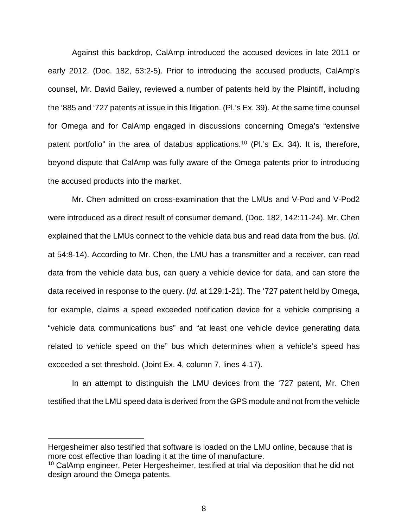Against this backdrop, CalAmp introduced the accused devices in late 2011 or early 2012. (Doc. 182, 53:2-5). Prior to introducing the accused products, CalAmp's counsel, Mr. David Bailey, reviewed a number of patents held by the Plaintiff, including the '885 and '727 patents at issue in this litigation. (Pl.'s Ex. 39). At the same time counsel for Omega and for CalAmp engaged in discussions concerning Omega's "extensive patent portfolio" in the area of databus applications.<sup>10</sup> (Pl.'s Ex. 34). It is, therefore, beyond dispute that CalAmp was fully aware of the Omega patents prior to introducing the accused products into the market.

Mr. Chen admitted on cross-examination that the LMUs and V-Pod and V-Pod2 were introduced as a direct result of consumer demand. (Doc. 182, 142:11-24). Mr. Chen explained that the LMUs connect to the vehicle data bus and read data from the bus. (*Id.* at 54:8-14). According to Mr. Chen, the LMU has a transmitter and a receiver, can read data from the vehicle data bus, can query a vehicle device for data, and can store the data received in response to the query. (*Id.* at 129:1-21). The '727 patent held by Omega, for example, claims a speed exceeded notification device for a vehicle comprising a "vehicle data communications bus" and "at least one vehicle device generating data related to vehicle speed on the" bus which determines when a vehicle's speed has exceeded a set threshold. (Joint Ex. 4, column 7, lines 4-17).

In an attempt to distinguish the LMU devices from the '727 patent, Mr. Chen testified that the LMU speed data is derived from the GPS module and not from the vehicle

 $\overline{a}$ 

Hergesheimer also testified that software is loaded on the LMU online, because that is more cost effective than loading it at the time of manufacture.

<sup>&</sup>lt;sup>10</sup> CalAmp engineer, Peter Hergesheimer, testified at trial via deposition that he did not design around the Omega patents.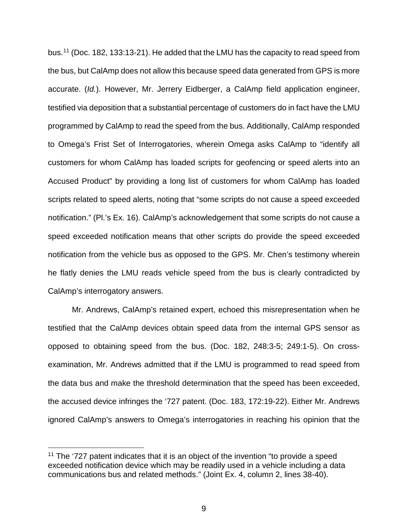bus.11 (Doc. 182, 133:13-21). He added that the LMU has the capacity to read speed from the bus, but CalAmp does not allow this because speed data generated from GPS is more accurate. (*Id.*). However, Mr. Jerrery Eidberger, a CalAmp field application engineer, testified via deposition that a substantial percentage of customers do in fact have the LMU programmed by CalAmp to read the speed from the bus. Additionally, CalAmp responded to Omega's Frist Set of Interrogatories, wherein Omega asks CalAmp to "identify all customers for whom CalAmp has loaded scripts for geofencing or speed alerts into an Accused Product" by providing a long list of customers for whom CalAmp has loaded scripts related to speed alerts, noting that "some scripts do not cause a speed exceeded notification." (Pl.'s Ex. 16). CalAmp's acknowledgement that some scripts do not cause a speed exceeded notification means that other scripts do provide the speed exceeded notification from the vehicle bus as opposed to the GPS. Mr. Chen's testimony wherein he flatly denies the LMU reads vehicle speed from the bus is clearly contradicted by CalAmp's interrogatory answers.

Mr. Andrews, CalAmp's retained expert, echoed this misrepresentation when he testified that the CalAmp devices obtain speed data from the internal GPS sensor as opposed to obtaining speed from the bus. (Doc. 182, 248:3-5; 249:1-5). On crossexamination, Mr. Andrews admitted that if the LMU is programmed to read speed from the data bus and make the threshold determination that the speed has been exceeded, the accused device infringes the '727 patent. (Doc. 183, 172:19-22). Either Mr. Andrews ignored CalAmp's answers to Omega's interrogatories in reaching his opinion that the

 $11$  The '727 patent indicates that it is an object of the invention "to provide a speed exceeded notification device which may be readily used in a vehicle including a data communications bus and related methods." (Joint Ex. 4, column 2, lines 38-40).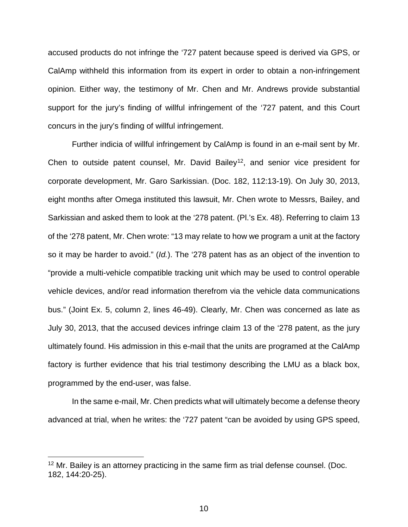accused products do not infringe the '727 patent because speed is derived via GPS, or CalAmp withheld this information from its expert in order to obtain a non-infringement opinion. Either way, the testimony of Mr. Chen and Mr. Andrews provide substantial support for the jury's finding of willful infringement of the '727 patent, and this Court concurs in the jury's finding of willful infringement.

Further indicia of willful infringement by CalAmp is found in an e-mail sent by Mr. Chen to outside patent counsel, Mr. David Bailey<sup>12</sup>, and senior vice president for corporate development, Mr. Garo Sarkissian. (Doc. 182, 112:13-19). On July 30, 2013, eight months after Omega instituted this lawsuit, Mr. Chen wrote to Messrs, Bailey, and Sarkissian and asked them to look at the '278 patent. (Pl.'s Ex. 48). Referring to claim 13 of the '278 patent, Mr. Chen wrote: "13 may relate to how we program a unit at the factory so it may be harder to avoid." (*Id.*). The '278 patent has as an object of the invention to "provide a multi-vehicle compatible tracking unit which may be used to control operable vehicle devices, and/or read information therefrom via the vehicle data communications bus." (Joint Ex. 5, column 2, lines 46-49). Clearly, Mr. Chen was concerned as late as July 30, 2013, that the accused devices infringe claim 13 of the '278 patent, as the jury ultimately found. His admission in this e-mail that the units are programed at the CalAmp factory is further evidence that his trial testimony describing the LMU as a black box, programmed by the end-user, was false.

In the same e-mail, Mr. Chen predicts what will ultimately become a defense theory advanced at trial, when he writes: the '727 patent "can be avoided by using GPS speed,

 $12$  Mr. Bailey is an attorney practicing in the same firm as trial defense counsel. (Doc. 182, 144:20-25).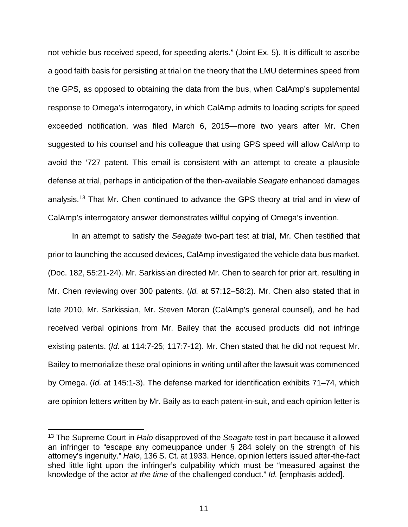not vehicle bus received speed, for speeding alerts." (Joint Ex. 5). It is difficult to ascribe a good faith basis for persisting at trial on the theory that the LMU determines speed from the GPS, as opposed to obtaining the data from the bus, when CalAmp's supplemental response to Omega's interrogatory, in which CalAmp admits to loading scripts for speed exceeded notification, was filed March 6, 2015—more two years after Mr. Chen suggested to his counsel and his colleague that using GPS speed will allow CalAmp to avoid the '727 patent. This email is consistent with an attempt to create a plausible defense at trial, perhaps in anticipation of the then-available *Seagate* enhanced damages analysis.13 That Mr. Chen continued to advance the GPS theory at trial and in view of CalAmp's interrogatory answer demonstrates willful copying of Omega's invention.

In an attempt to satisfy the *Seagate* two-part test at trial, Mr. Chen testified that prior to launching the accused devices, CalAmp investigated the vehicle data bus market. (Doc. 182, 55:21-24). Mr. Sarkissian directed Mr. Chen to search for prior art, resulting in Mr. Chen reviewing over 300 patents. (*Id.* at 57:12–58:2). Mr. Chen also stated that in late 2010, Mr. Sarkissian, Mr. Steven Moran (CalAmp's general counsel), and he had received verbal opinions from Mr. Bailey that the accused products did not infringe existing patents. (*Id.* at 114:7-25; 117:7-12). Mr. Chen stated that he did not request Mr. Bailey to memorialize these oral opinions in writing until after the lawsuit was commenced by Omega. (*Id.* at 145:1-3). The defense marked for identification exhibits 71–74, which are opinion letters written by Mr. Baily as to each patent-in-suit, and each opinion letter is

 <sup>13</sup> The Supreme Court in *Halo* disapproved of the *Seagate* test in part because it allowed an infringer to "escape any comeuppance under § 284 solely on the strength of his attorney's ingenuity." *Halo*, 136 S. Ct. at 1933. Hence, opinion letters issued after-the-fact shed little light upon the infringer's culpability which must be "measured against the knowledge of the actor *at the time* of the challenged conduct." *Id.* [emphasis added].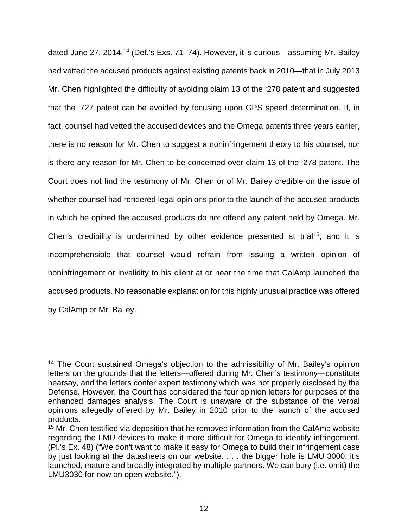dated June 27, 2014.14 (Def.'s Exs. 71–74). However, it is curious—assuming Mr. Bailey had vetted the accused products against existing patents back in 2010—that in July 2013 Mr. Chen highlighted the difficulty of avoiding claim 13 of the '278 patent and suggested that the '727 patent can be avoided by focusing upon GPS speed determination. If, in fact, counsel had vetted the accused devices and the Omega patents three years earlier, there is no reason for Mr. Chen to suggest a noninfringement theory to his counsel, nor is there any reason for Mr. Chen to be concerned over claim 13 of the '278 patent. The Court does not find the testimony of Mr. Chen or of Mr. Bailey credible on the issue of whether counsel had rendered legal opinions prior to the launch of the accused products in which he opined the accused products do not offend any patent held by Omega. Mr. Chen's credibility is undermined by other evidence presented at trial<sup>15</sup>, and it is incomprehensible that counsel would refrain from issuing a written opinion of noninfringement or invalidity to his client at or near the time that CalAmp launched the accused products. No reasonable explanation for this highly unusual practice was offered by CalAmp or Mr. Bailey.

<sup>&</sup>lt;sup>14</sup> The Court sustained Omega's objection to the admissibility of Mr. Bailey's opinion letters on the grounds that the letters—offered during Mr. Chen's testimony—constitute hearsay, and the letters confer expert testimony which was not properly disclosed by the Defense. However, the Court has considered the four opinion letters for purposes of the enhanced damages analysis. The Court is unaware of the substance of the verbal opinions allegedly offered by Mr. Bailey in 2010 prior to the launch of the accused products.

 $15$  Mr. Chen testified via deposition that he removed information from the CalAmp website regarding the LMU devices to make it more difficult for Omega to identify infringement. (Pl.'s Ex. 48) ("We don't want to make it easy for Omega to build their infringement case by just looking at the datasheets on our website. . . . the bigger hole is LMU 3000; it's launched, mature and broadly integrated by multiple partners. We can bury (i.e. omit) the LMU3030 for now on open website.").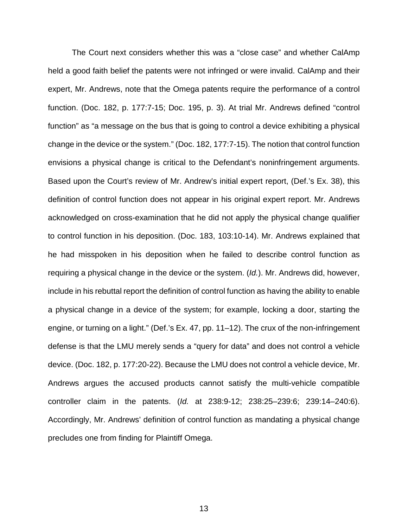The Court next considers whether this was a "close case" and whether CalAmp held a good faith belief the patents were not infringed or were invalid. CalAmp and their expert, Mr. Andrews, note that the Omega patents require the performance of a control function. (Doc. 182, p. 177:7-15; Doc. 195, p. 3). At trial Mr. Andrews defined "control function" as "a message on the bus that is going to control a device exhibiting a physical change in the device or the system." (Doc. 182, 177:7-15). The notion that control function envisions a physical change is critical to the Defendant's noninfringement arguments. Based upon the Court's review of Mr. Andrew's initial expert report, (Def.'s Ex. 38), this definition of control function does not appear in his original expert report. Mr. Andrews acknowledged on cross-examination that he did not apply the physical change qualifier to control function in his deposition. (Doc. 183, 103:10-14). Mr. Andrews explained that he had misspoken in his deposition when he failed to describe control function as requiring a physical change in the device or the system. (*Id.*). Mr. Andrews did, however, include in his rebuttal report the definition of control function as having the ability to enable a physical change in a device of the system; for example, locking a door, starting the engine, or turning on a light." (Def.'s Ex. 47, pp. 11–12). The crux of the non-infringement defense is that the LMU merely sends a "query for data" and does not control a vehicle device. (Doc. 182, p. 177:20-22). Because the LMU does not control a vehicle device, Mr. Andrews argues the accused products cannot satisfy the multi-vehicle compatible controller claim in the patents. (*Id.* at 238:9-12; 238:25–239:6; 239:14–240:6). Accordingly, Mr. Andrews' definition of control function as mandating a physical change precludes one from finding for Plaintiff Omega.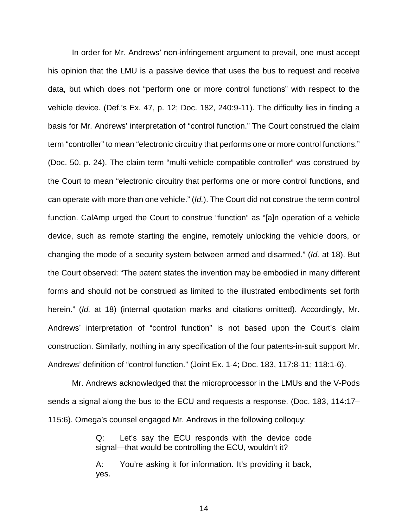In order for Mr. Andrews' non-infringement argument to prevail, one must accept his opinion that the LMU is a passive device that uses the bus to request and receive data, but which does not "perform one or more control functions" with respect to the vehicle device. (Def.'s Ex. 47, p. 12; Doc. 182, 240:9-11). The difficulty lies in finding a basis for Mr. Andrews' interpretation of "control function." The Court construed the claim term "controller" to mean "electronic circuitry that performs one or more control functions." (Doc. 50, p. 24). The claim term "multi-vehicle compatible controller" was construed by the Court to mean "electronic circuitry that performs one or more control functions, and can operate with more than one vehicle." (*Id.*). The Court did not construe the term control function. CalAmp urged the Court to construe "function" as "[a]n operation of a vehicle device, such as remote starting the engine, remotely unlocking the vehicle doors, or changing the mode of a security system between armed and disarmed." (*Id.* at 18). But the Court observed: "The patent states the invention may be embodied in many different forms and should not be construed as limited to the illustrated embodiments set forth herein." (*Id.* at 18) (internal quotation marks and citations omitted). Accordingly, Mr. Andrews' interpretation of "control function" is not based upon the Court's claim construction. Similarly, nothing in any specification of the four patents-in-suit support Mr. Andrews' definition of "control function." (Joint Ex. 1-4; Doc. 183, 117:8-11; 118:1-6).

Mr. Andrews acknowledged that the microprocessor in the LMUs and the V-Pods sends a signal along the bus to the ECU and requests a response. (Doc. 183, 114:17– 115:6). Omega's counsel engaged Mr. Andrews in the following colloquy:

> Q: Let's say the ECU responds with the device code signal—that would be controlling the ECU, wouldn't it?

> A: You're asking it for information. It's providing it back, yes.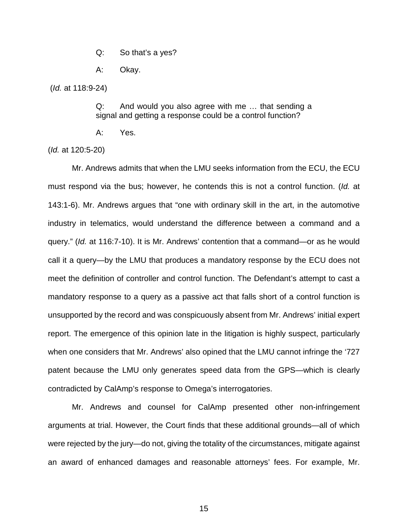Q: So that's a yes?

A: Okay.

(*Id.* at 118:9-24)

Q: And would you also agree with me … that sending a signal and getting a response could be a control function?

A: Yes.

(*Id.* at 120:5-20)

Mr. Andrews admits that when the LMU seeks information from the ECU, the ECU must respond via the bus; however, he contends this is not a control function. (*Id.* at 143:1-6). Mr. Andrews argues that "one with ordinary skill in the art, in the automotive industry in telematics, would understand the difference between a command and a query." (*Id.* at 116:7-10). It is Mr. Andrews' contention that a command—or as he would call it a query—by the LMU that produces a mandatory response by the ECU does not meet the definition of controller and control function. The Defendant's attempt to cast a mandatory response to a query as a passive act that falls short of a control function is unsupported by the record and was conspicuously absent from Mr. Andrews' initial expert report. The emergence of this opinion late in the litigation is highly suspect, particularly when one considers that Mr. Andrews' also opined that the LMU cannot infringe the '727 patent because the LMU only generates speed data from the GPS—which is clearly contradicted by CalAmp's response to Omega's interrogatories.

Mr. Andrews and counsel for CalAmp presented other non-infringement arguments at trial. However, the Court finds that these additional grounds—all of which were rejected by the jury—do not, giving the totality of the circumstances, mitigate against an award of enhanced damages and reasonable attorneys' fees. For example, Mr.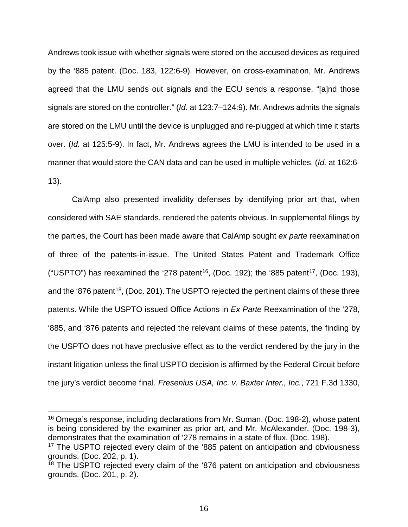Andrews took issue with whether signals were stored on the accused devices as required by the '885 patent. (Doc. 183, 122:6-9). However, on cross-examination, Mr. Andrews agreed that the LMU sends out signals and the ECU sends a response, "[a]nd those signals are stored on the controller." (*Id.* at 123:7–124:9). Mr. Andrews admits the signals are stored on the LMU until the device is unplugged and re-plugged at which time it starts over. (*Id.* at 125:5-9). In fact, Mr. Andrews agrees the LMU is intended to be used in a manner that would store the CAN data and can be used in multiple vehicles. (*Id.* at 162:6- 13).

CalAmp also presented invalidity defenses by identifying prior art that, when considered with SAE standards, rendered the patents obvious. In supplemental filings by the parties, the Court has been made aware that CalAmp sought *ex parte* reexamination of three of the patents-in-issue. The United States Patent and Trademark Office ("USPTO") has reexamined the '278 patent<sup>16</sup>, (Doc. 192); the '885 patent<sup>17</sup>, (Doc. 193), and the '876 patent<sup>18</sup>, (Doc. 201). The USPTO rejected the pertinent claims of these three patents. While the USPTO issued Office Actions in *Ex Parte* Reexamination of the '278, '885, and '876 patents and rejected the relevant claims of these patents, the finding by the USPTO does not have preclusive effect as to the verdict rendered by the jury in the instant litigation unless the final USPTO decision is affirmed by the Federal Circuit before the jury's verdict become final. *Fresenius USA, Inc. v. Baxter Inter., Inc.*, 721 F.3d 1330,

<sup>&</sup>lt;sup>16</sup> Omega's response, including declarations from Mr. Suman, (Doc. 198-2), whose patent is being considered by the examiner as prior art, and Mr. McAlexander, (Doc. 198-3), demonstrates that the examination of '278 remains in a state of flux. (Doc. 198).

<sup>17</sup> The USPTO rejected every claim of the '885 patent on anticipation and obviousness grounds. (Doc. 202, p. 1).

<sup>&</sup>lt;sup>18</sup> The USPTO rejected every claim of the '876 patent on anticipation and obviousness grounds. (Doc. 201, p. 2).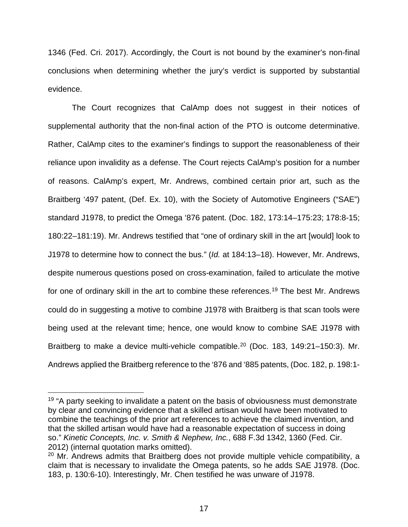1346 (Fed. Cri. 2017). Accordingly, the Court is not bound by the examiner's non-final conclusions when determining whether the jury's verdict is supported by substantial evidence.

The Court recognizes that CalAmp does not suggest in their notices of supplemental authority that the non-final action of the PTO is outcome determinative. Rather, CalAmp cites to the examiner's findings to support the reasonableness of their reliance upon invalidity as a defense. The Court rejects CalAmp's position for a number of reasons. CalAmp's expert, Mr. Andrews, combined certain prior art, such as the Braitberg '497 patent, (Def. Ex. 10), with the Society of Automotive Engineers ("SAE") standard J1978, to predict the Omega '876 patent. (Doc. 182, 173:14–175:23; 178:8-15; 180:22–181:19). Mr. Andrews testified that "one of ordinary skill in the art [would] look to J1978 to determine how to connect the bus." (*Id.* at 184:13–18). However, Mr. Andrews, despite numerous questions posed on cross-examination, failed to articulate the motive for one of ordinary skill in the art to combine these references.<sup>19</sup> The best Mr. Andrews could do in suggesting a motive to combine J1978 with Braitberg is that scan tools were being used at the relevant time; hence, one would know to combine SAE J1978 with Braitberg to make a device multi-vehicle compatible.<sup>20</sup> (Doc. 183, 149:21-150:3). Mr. Andrews applied the Braitberg reference to the '876 and '885 patents, (Doc. 182, p. 198:1-

<sup>&</sup>lt;sup>19</sup> "A party seeking to invalidate a patent on the basis of obviousness must demonstrate by clear and convincing evidence that a skilled artisan would have been motivated to combine the teachings of the prior art references to achieve the claimed invention, and that the skilled artisan would have had a reasonable expectation of success in doing so." *Kinetic Concepts, Inc. v. Smith & Nephew, Inc.*, 688 F.3d 1342, 1360 (Fed. Cir.

<sup>&</sup>lt;sup>20</sup> Mr. Andrews admits that Braitberg does not provide multiple vehicle compatibility, a claim that is necessary to invalidate the Omega patents, so he adds SAE J1978. (Doc. 183, p. 130:6-10). Interestingly, Mr. Chen testified he was unware of J1978.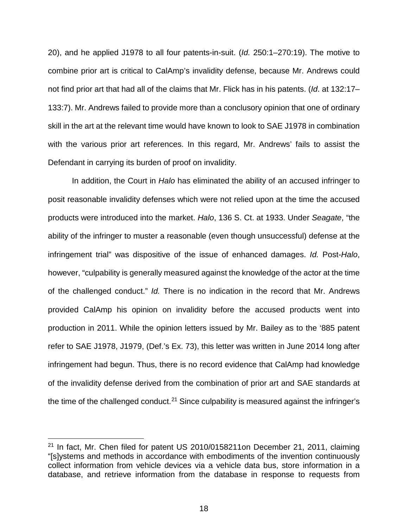20), and he applied J1978 to all four patents-in-suit. (*Id.* 250:1–270:19). The motive to combine prior art is critical to CalAmp's invalidity defense, because Mr. Andrews could not find prior art that had all of the claims that Mr. Flick has in his patents. (*Id*. at 132:17– 133:7). Mr. Andrews failed to provide more than a conclusory opinion that one of ordinary skill in the art at the relevant time would have known to look to SAE J1978 in combination with the various prior art references. In this regard, Mr. Andrews' fails to assist the Defendant in carrying its burden of proof on invalidity.

In addition, the Court in *Halo* has eliminated the ability of an accused infringer to posit reasonable invalidity defenses which were not relied upon at the time the accused products were introduced into the market. *Halo*, 136 S. Ct. at 1933. Under *Seagate*, "the ability of the infringer to muster a reasonable (even though unsuccessful) defense at the infringement trial" was dispositive of the issue of enhanced damages. *Id.* Post-*Halo*, however, "culpability is generally measured against the knowledge of the actor at the time of the challenged conduct." *Id.* There is no indication in the record that Mr. Andrews provided CalAmp his opinion on invalidity before the accused products went into production in 2011. While the opinion letters issued by Mr. Bailey as to the '885 patent refer to SAE J1978, J1979, (Def.'s Ex. 73), this letter was written in June 2014 long after infringement had begun. Thus, there is no record evidence that CalAmp had knowledge of the invalidity defense derived from the combination of prior art and SAE standards at the time of the challenged conduct.<sup>21</sup> Since culpability is measured against the infringer's

 $21$  In fact, Mr. Chen filed for patent US 2010/0158211on December 21, 2011, claiming "[s]ystems and methods in accordance with embodiments of the invention continuously collect information from vehicle devices via a vehicle data bus, store information in a database, and retrieve information from the database in response to requests from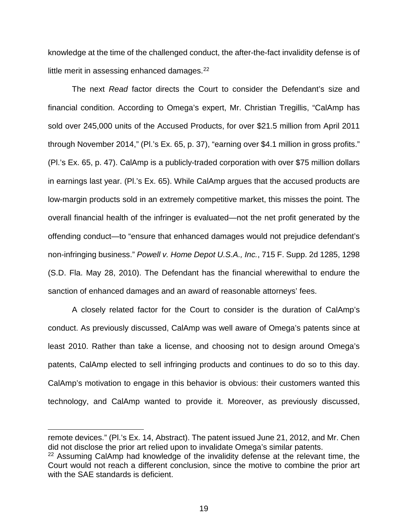knowledge at the time of the challenged conduct, the after-the-fact invalidity defense is of little merit in assessing enhanced damages. $^{22}$ 

The next *Read* factor directs the Court to consider the Defendant's size and financial condition. According to Omega's expert, Mr. Christian Tregillis, "CalAmp has sold over 245,000 units of the Accused Products, for over \$21.5 million from April 2011 through November 2014," (Pl.'s Ex. 65, p. 37), "earning over \$4.1 million in gross profits." (Pl.'s Ex. 65, p. 47). CalAmp is a publicly-traded corporation with over \$75 million dollars in earnings last year. (Pl.'s Ex. 65). While CalAmp argues that the accused products are low-margin products sold in an extremely competitive market, this misses the point. The overall financial health of the infringer is evaluated—not the net profit generated by the offending conduct—to "ensure that enhanced damages would not prejudice defendant's non-infringing business." *Powell v. Home Depot U.S.A., Inc.*, 715 F. Supp. 2d 1285, 1298 (S.D. Fla. May 28, 2010). The Defendant has the financial wherewithal to endure the sanction of enhanced damages and an award of reasonable attorneys' fees.

A closely related factor for the Court to consider is the duration of CalAmp's conduct. As previously discussed, CalAmp was well aware of Omega's patents since at least 2010. Rather than take a license, and choosing not to design around Omega's patents, CalAmp elected to sell infringing products and continues to do so to this day. CalAmp's motivation to engage in this behavior is obvious: their customers wanted this technology, and CalAmp wanted to provide it. Moreover, as previously discussed,

 $\overline{a}$ 

remote devices." (Pl.'s Ex. 14, Abstract). The patent issued June 21, 2012, and Mr. Chen did not disclose the prior art relied upon to invalidate Omega's similar patents.

 $22$  Assuming CalAmp had knowledge of the invalidity defense at the relevant time, the Court would not reach a different conclusion, since the motive to combine the prior art with the SAF standards is deficient.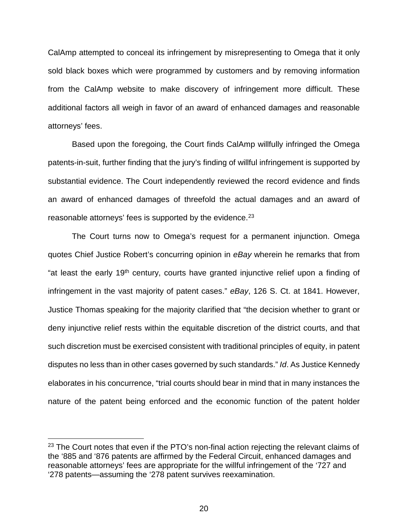CalAmp attempted to conceal its infringement by misrepresenting to Omega that it only sold black boxes which were programmed by customers and by removing information from the CalAmp website to make discovery of infringement more difficult. These additional factors all weigh in favor of an award of enhanced damages and reasonable attorneys' fees.

Based upon the foregoing, the Court finds CalAmp willfully infringed the Omega patents-in-suit, further finding that the jury's finding of willful infringement is supported by substantial evidence. The Court independently reviewed the record evidence and finds an award of enhanced damages of threefold the actual damages and an award of reasonable attorneys' fees is supported by the evidence.  $23$ 

The Court turns now to Omega's request for a permanent injunction. Omega quotes Chief Justice Robert's concurring opinion in *eBay* wherein he remarks that from "at least the early 19<sup>th</sup> century, courts have granted injunctive relief upon a finding of infringement in the vast majority of patent cases." *eBay*, 126 S. Ct. at 1841. However, Justice Thomas speaking for the majority clarified that "the decision whether to grant or deny injunctive relief rests within the equitable discretion of the district courts, and that such discretion must be exercised consistent with traditional principles of equity, in patent disputes no less than in other cases governed by such standards." *Id*. As Justice Kennedy elaborates in his concurrence, "trial courts should bear in mind that in many instances the nature of the patent being enforced and the economic function of the patent holder

 $23$  The Court notes that even if the PTO's non-final action rejecting the relevant claims of the '885 and '876 patents are affirmed by the Federal Circuit, enhanced damages and reasonable attorneys' fees are appropriate for the willful infringement of the '727 and '278 patents—assuming the '278 patent survives reexamination.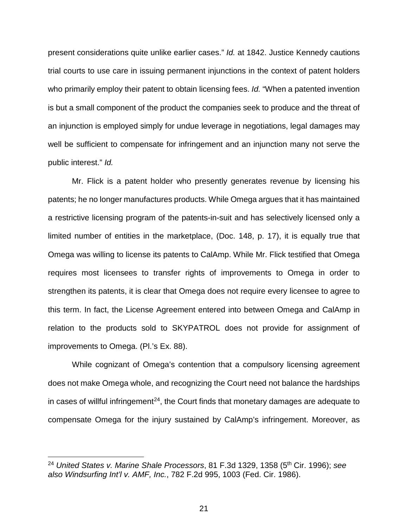present considerations quite unlike earlier cases." *Id.* at 1842. Justice Kennedy cautions trial courts to use care in issuing permanent injunctions in the context of patent holders who primarily employ their patent to obtain licensing fees. *Id.* "When a patented invention is but a small component of the product the companies seek to produce and the threat of an injunction is employed simply for undue leverage in negotiations, legal damages may well be sufficient to compensate for infringement and an injunction many not serve the public interest." *Id.*

Mr. Flick is a patent holder who presently generates revenue by licensing his patents; he no longer manufactures products. While Omega argues that it has maintained a restrictive licensing program of the patents-in-suit and has selectively licensed only a limited number of entities in the marketplace, (Doc. 148, p. 17), it is equally true that Omega was willing to license its patents to CalAmp. While Mr. Flick testified that Omega requires most licensees to transfer rights of improvements to Omega in order to strengthen its patents, it is clear that Omega does not require every licensee to agree to this term. In fact, the License Agreement entered into between Omega and CalAmp in relation to the products sold to SKYPATROL does not provide for assignment of improvements to Omega. (Pl.'s Ex. 88).

While cognizant of Omega's contention that a compulsory licensing agreement does not make Omega whole, and recognizing the Court need not balance the hardships in cases of willful infringement $24$ , the Court finds that monetary damages are adequate to compensate Omega for the injury sustained by CalAmp's infringement. Moreover, as

 <sup>24</sup> *United States v. Marine Shale Processors*, 81 F.3d 1329, 1358 (5th Cir. 1996); *see also Windsurfing Int'l v. AMF, Inc.*, 782 F.2d 995, 1003 (Fed. Cir. 1986).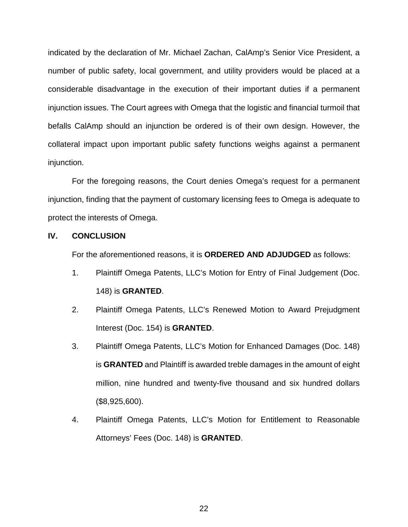indicated by the declaration of Mr. Michael Zachan, CalAmp's Senior Vice President, a number of public safety, local government, and utility providers would be placed at a considerable disadvantage in the execution of their important duties if a permanent injunction issues. The Court agrees with Omega that the logistic and financial turmoil that befalls CalAmp should an injunction be ordered is of their own design. However, the collateral impact upon important public safety functions weighs against a permanent injunction.

For the foregoing reasons, the Court denies Omega's request for a permanent injunction, finding that the payment of customary licensing fees to Omega is adequate to protect the interests of Omega.

# **IV. CONCLUSION**

For the aforementioned reasons, it is **ORDERED AND ADJUDGED** as follows:

- 1. Plaintiff Omega Patents, LLC's Motion for Entry of Final Judgement (Doc. 148) is **GRANTED**.
- 2. Plaintiff Omega Patents, LLC's Renewed Motion to Award Prejudgment Interest (Doc. 154) is **GRANTED**.
- 3. Plaintiff Omega Patents, LLC's Motion for Enhanced Damages (Doc. 148) is **GRANTED** and Plaintiff is awarded treble damages in the amount of eight million, nine hundred and twenty-five thousand and six hundred dollars (\$8,925,600).
- 4. Plaintiff Omega Patents, LLC's Motion for Entitlement to Reasonable Attorneys' Fees (Doc. 148) is **GRANTED**.